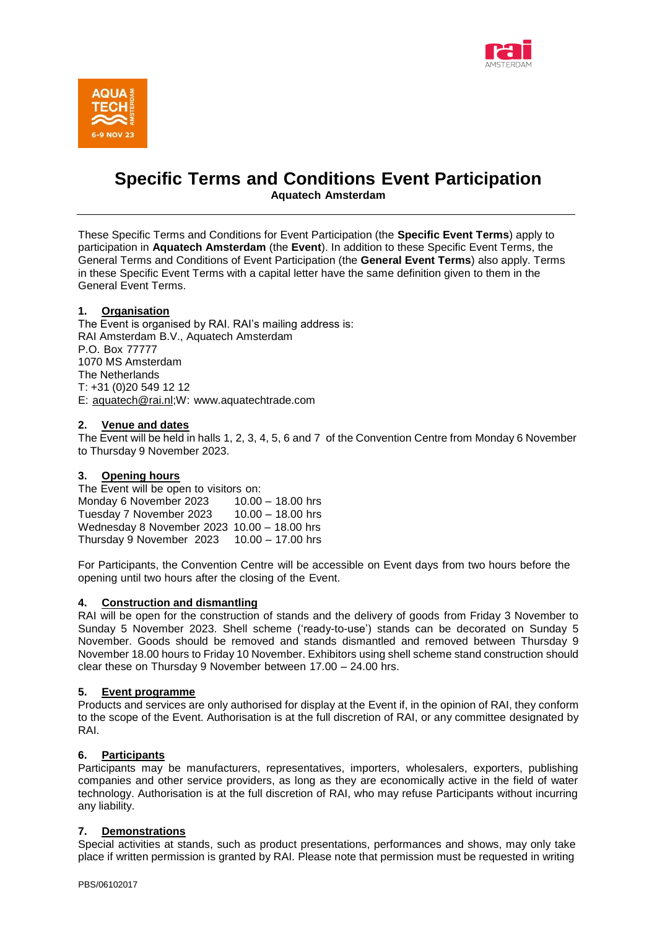



# **Specific Terms and Conditions Event Participation Aquatech Amsterdam**

These Specific Terms and Conditions for Event Participation (the **Specific Event Terms**) apply to participation in **Aquatech Amsterdam** (the **Event**). In addition to these Specific Event Terms, the General Terms and Conditions of Event Participation (the **General Event Terms**) also apply. Terms in these Specific Event Terms with a capital letter have the same definition given to them in the General Event Terms.

## **1. Organisation**

The Event is organised by RAI. RAI's mailing address is: RAI Amsterdam B.V., Aquatech Amsterdam P.O. Box 77777 1070 MS Amsterdam The Netherlands T: +31 (0)20 549 12 12 E: [aquatech@rai.nl;](mailto:aquatech@rai.nl)W: [www.aquatechtrade.com](http://www.aquatechtrade.com/)

### **2. Venue and dates**

The Event will be held in halls 1, 2, 3, 4, 5, 6 and 7 of the Convention Centre from Monday 6 November to Thursday 9 November 2023.

### **3. Opening hours**

The Event will be open to visitors on: Monday 6 November 2023 10.00 – 18.00 hrs Tuesday 7 November 2023 10.00 – 18.00 hrs Wednesday 8 November 2023 10.00 – 18.00 hrs Thursday 9 November 2023 10.00 – 17.00 hrs

For Participants, the Convention Centre will be accessible on Event days from two hours before the opening until two hours after the closing of the Event.

### **4. Construction and dismantling**

RAI will be open for the construction of stands and the delivery of goods from Friday 3 November to Sunday 5 November 2023. Shell scheme ('ready-to-use') stands can be decorated on Sunday 5 November. Goods should be removed and stands dismantled and removed between Thursday 9 November 18.00 hours to Friday 10 November. Exhibitors using shell scheme stand construction should clear these on Thursday 9 November between 17.00 – 24.00 hrs.

### **5. Event programme**

Products and services are only authorised for display at the Event if, in the opinion of RAI, they conform to the scope of the Event. Authorisation is at the full discretion of RAI, or any committee designated by RAI.

### **6. Participants**

Participants may be manufacturers, representatives, importers, wholesalers, exporters, publishing companies and other service providers, as long as they are economically active in the field of water technology. Authorisation is at the full discretion of RAI, who may refuse Participants without incurring any liability.

### **7. Demonstrations**

Special activities at stands, such as product presentations, performances and shows, may only take place if written permission is granted by RAI. Please note that permission must be requested in writing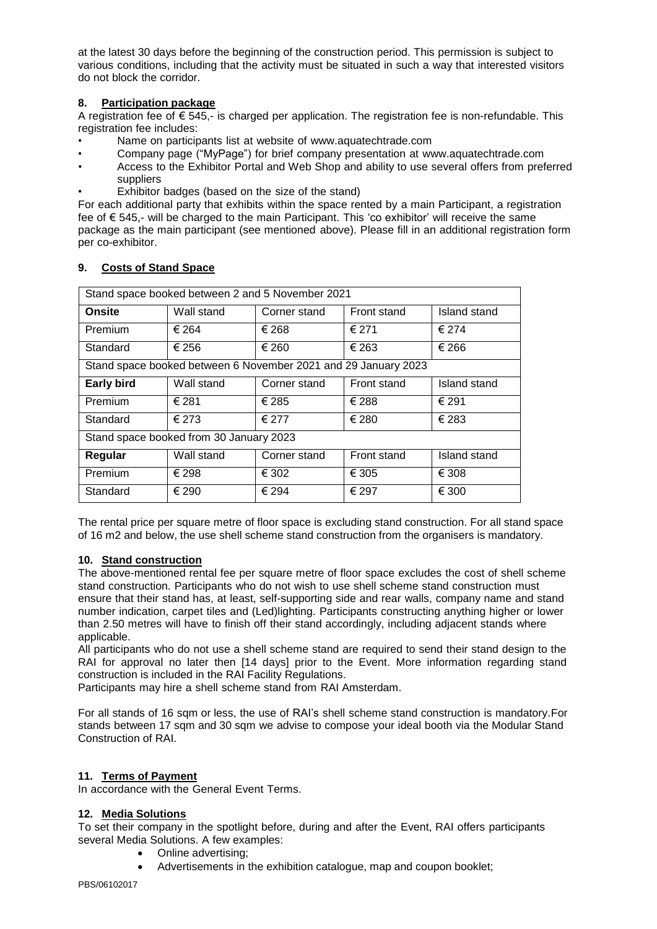at the latest 30 days before the beginning of the construction period. This permission is subject to various conditions, including that the activity must be situated in such a way that interested visitors do not block the corridor.

# **8. Participation package**

A registration fee of € 545,- is charged per application. The registration fee is non-refundable. This registration fee includes:

- Name on participants list at website of [www.aquatechtrade.com](http://www.aquatechtrade.com/)
- Company page ("MyPage") for brief company presentation at [www.aquatechtrade.com](http://www.aquatechtrade.com/)
- Access to the Exhibitor Portal and Web Shop and ability to use several offers from preferred suppliers
- Exhibitor badges (based on the size of the stand)

For each additional party that exhibits within the space rented by a main Participant, a registration fee of € 545,- will be charged to the main Participant. This 'co exhibitor' will receive the same package as the main participant (see mentioned above). Please fill in an additional registration form per co-exhibitor.

| Stand space booked between 2 and 5 November 2021               |            |              |             |                     |
|----------------------------------------------------------------|------------|--------------|-------------|---------------------|
| <b>Onsite</b>                                                  | Wall stand | Corner stand | Front stand | <b>Island stand</b> |
| Premium                                                        | € 264      | € 268        | € 271       | € 274               |
| Standard                                                       | € 256      | € 260        | € 263       | € 266               |
| Stand space booked between 6 November 2021 and 29 January 2023 |            |              |             |                     |
| <b>Early bird</b>                                              | Wall stand | Corner stand | Front stand | Island stand        |
| Premium                                                        | € 281      | € 285        | € 288       | € 291               |
| Standard                                                       | € 273      | € 277        | € 280       | € 283               |
| Stand space booked from 30 January 2023                        |            |              |             |                     |
| Regular                                                        | Wall stand | Corner stand | Front stand | <b>Island stand</b> |
| Premium                                                        | € 298      | € 302        | € 305       | € 308               |
| Standard                                                       | € 290      | € 294        | € 297       | € 300               |

# **9. Costs of Stand Space**

The rental price per square metre of floor space is excluding stand construction. For all stand space of 16 m2 and below, the use shell scheme stand construction from the organisers is mandatory.

# **10. Stand construction**

The above-mentioned rental fee per square metre of floor space excludes the cost of shell scheme stand construction. Participants who do not wish to use shell scheme stand construction must ensure that their stand has, at least, self-supporting side and rear walls, company name and stand number indication, carpet tiles and (Led)lighting. Participants constructing anything higher or lower than 2.50 metres will have to finish off their stand accordingly, including adjacent stands where applicable.

All participants who do not use a shell scheme stand are required to send their stand design to the RAI for approval no later then [14 days] prior to the Event. More information regarding stand construction is included in the RAI Facility Regulations.

Participants may hire a shell scheme stand from RAI Amsterdam.

For all stands of 16 sqm or less, the use of RAI's shell scheme stand construction is mandatory.For stands between 17 sqm and 30 sqm we advise to compose your ideal booth via the Modular Stand Construction of RAI.

# **11. Terms of Payment**

In accordance with the General Event Terms.

# **12. Media Solutions**

To set their company in the spotlight before, during and after the Event, RAI offers participants several Media Solutions. A few examples:

- Online advertising;
- Advertisements in the exhibition catalogue, map and coupon booklet;